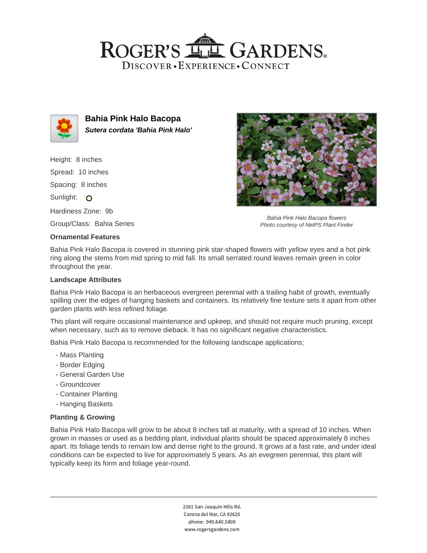## ROGER'S LL GARDENS. DISCOVER · EXPERIENCE · CONNECT



**Bahia Pink Halo Bacopa Sutera cordata 'Bahia Pink Halo'**

Height: 8 inches Spread: 10 inches Spacing: 8 inches Sunlight: O Hardiness Zone: 9b Group/Class: Bahia Series

#### **Ornamental Features**

Bahia Pink Halo Bacopa flowers Photo courtesy of NetPS Plant Finder

Bahia Pink Halo Bacopa is covered in stunning pink star-shaped flowers with yellow eyes and a hot pink ring along the stems from mid spring to mid fall. Its small serrated round leaves remain green in color throughout the year.

#### **Landscape Attributes**

Bahia Pink Halo Bacopa is an herbaceous evergreen perennial with a trailing habit of growth, eventually spilling over the edges of hanging baskets and containers. Its relatively fine texture sets it apart from other garden plants with less refined foliage.

This plant will require occasional maintenance and upkeep, and should not require much pruning, except when necessary, such as to remove dieback. It has no significant negative characteristics.

Bahia Pink Halo Bacopa is recommended for the following landscape applications;

- Mass Planting
- Border Edging
- General Garden Use
- Groundcover
- Container Planting
- Hanging Baskets

### **Planting & Growing**

Bahia Pink Halo Bacopa will grow to be about 8 inches tall at maturity, with a spread of 10 inches. When grown in masses or used as a bedding plant, individual plants should be spaced approximately 8 inches apart. Its foliage tends to remain low and dense right to the ground. It grows at a fast rate, and under ideal conditions can be expected to live for approximately 5 years. As an evegreen perennial, this plant will typically keep its form and foliage year-round.

> 2301 San Joaquin Hills Rd. Corona del Mar, CA 92625 phone: 949.640.5800 www.rogersgardens.com